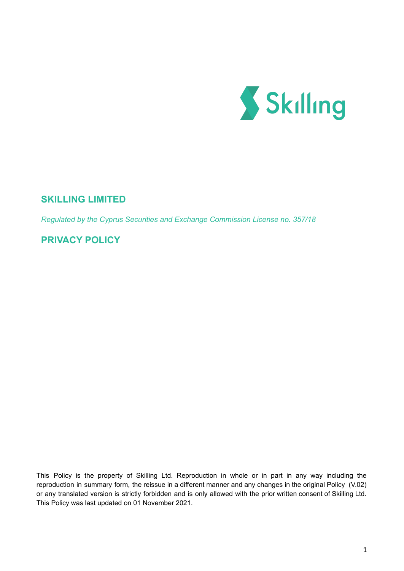

# **SKILLING LIMITED**

*Regulated by the Cyprus Securities and Exchange Commission License no. 357/18*

## **PRIVACY POLICY**

This Policy is the property of Skilling Ltd. Reproduction in whole or in part in any way including the reproduction in summary form, the reissue in a different manner and any changes in the original Policy (V.02) or any translated version is strictly forbidden and is only allowed with the prior written consent of Skilling Ltd. This Policy was last updated on 01 November 2021.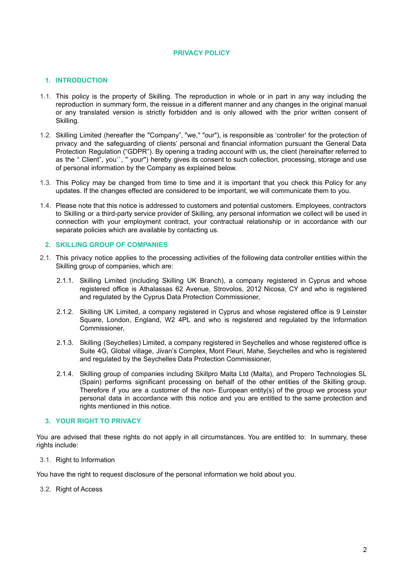## **PRIVACY POLICY**

## **1. INTRODUCTION**

- 1.1. This policy is the property of Skilling. The reproduction in whole or in part in any way including the reproduction in summary form, the reissue in a different manner and any changes in the original manual or any translated version is strictly forbidden and is only allowed with the prior written consent of Skilling.
- 1.2. Skilling Limited (hereafter the "Company", "we,'' "our"), is responsible as 'controller' for the protection of privacy and the safeguarding of clients' personal and financial information pursuant the General Data Protection Regulation ("GDPR"). By opening a trading account with us, the client (hereinafter referred to as the " Client", you``, '' your'') hereby gives its consent to such collection, processing, storage and use of personal information by the Company as explained below.
- 1.3. This Policy may be changed from time to time and it is important that you check this Policy for any updates. If the changes effected are considered to be important, we will communicate them to you.
- 1.4. Please note that this notice is addressed to customers and potential customers. Employees, contractors to Skilling or a third-party service provider of Skilling, any personal information we collect will be used in connection with your employment contract, your contractual relationship or in accordance with our separate policies which are available by contacting us.

#### **2. SKILLING GROUP OF COMPANIES**

- 2.1. This privacy notice applies to the processing activities of the following data controller entities within the Skilling group of companies, which are:
	- 2.1.1. Skilling Limited (including Skilling UK Branch), a company registered in Cyprus and whose registered office is Athalassas 62 Avenue, Strovolos, 2012 Nicosa, CY and who is registered and regulated by the Cyprus Data Protection Commissioner,
	- 2.1.2. Skilling UK Limited, a company registered in Cyprus and whose registered office is 9 Leinster Square, London, England, W2 4PL and who is registered and regulated by the Information Commissioner,
	- 2.1.3. Skilling (Seychelles) Limited, a company registered in Seychelles and whose registered office is Suite 4G, Global village, Jivan's Complex, Mont Fleuri, Mahe, Seychelles and who is registered and regulated by the Seychelles Data Protection Commissioner,
	- 2.1.4. Skilling group of companies including Skillpro Malta Ltd (Malta), and Propero Technologies SL (Spain) performs significant processing on behalf of the other entities of the Skilling group. Therefore if you are a customer of the non- European entity(s) of the group we process your personal data in accordance with this notice and you are entitled to the same protection and rights mentioned in this notice.

## **3. YOUR RIGHT TO PRIVACY**

You are advised that these rights do not apply in all circumstances. You are entitled to: In summary, these rights include:

3.1. Right to Information

You have the right to request disclosure of the personal information we hold about you.

3.2. Right of Access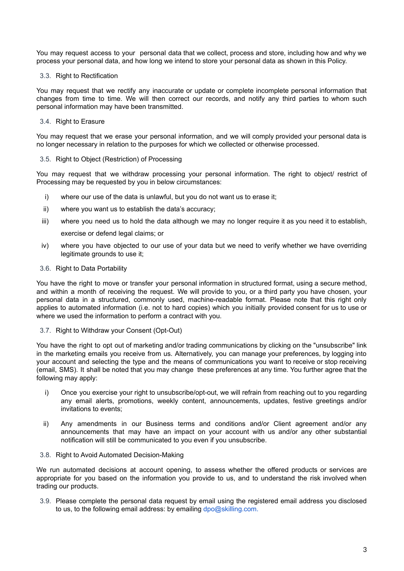You may request access to your personal data that we collect, process and store, including how and why we process your personal data, and how long we intend to store your personal data as shown in this Policy.

#### 3.3. Right to Rectification

You may request that we rectify any inaccurate or update or complete incomplete personal information that changes from time to time. We will then correct our records, and notify any third parties to whom such personal information may have been transmitted.

## 3.4. Right to Erasure

You may request that we erase your personal information, and we will comply provided your personal data is no longer necessary in relation to the purposes for which we collected or otherwise processed.

#### 3.5. Right to Object (Restriction) of Processing

You may request that we withdraw processing your personal information. The right to object/ restrict of Processing may be requested by you in below circumstances:

- i) where our use of the data is unlawful, but you do not want us to erase it;
- ii) where you want us to establish the data's accuracy;
- iii) where you need us to hold the data although we may no longer require it as you need it to establish, exercise or defend legal claims; or
- iv) where you have objected to our use of your data but we need to verify whether we have overriding legitimate grounds to use it;

#### 3.6. Right to Data Portability

You have the right to move or transfer your personal information in structured format, using a secure method, and within a month of receiving the request. We will provide to you, or a third party you have chosen, your personal data in a structured, commonly used, machine-readable format. Please note that this right only applies to automated information (i.e. not to hard copies) which you initially provided consent for us to use or where we used the information to perform a contract with you.

## 3.7. Right to Withdraw your Consent (Opt-Out)

You have the right to opt out of marketing and/or trading communications by clicking on the "unsubscribe" link in the marketing emails you receive from us. Alternatively, you can manage your preferences, by logging into your account and selecting the type and the means of communications you want to receive or stop receiving (email, SMS). It shall be noted that you may change these preferences at any time. You further agree that the following may apply:

- i) Once you exercise your right to unsubscribe/opt-out, we will refrain from reaching out to you regarding any email alerts, promotions, weekly content, announcements, updates, festive greetings and/or invitations to events;
- ii) Any amendments in our Business terms and conditions and/or Client agreement and/or any announcements that may have an impact on your account with us and/or any other substantial notification will still be communicated to you even if you unsubscribe.
- 3.8. Right to Avoid Automated Decision-Making

We run automated decisions at account opening, to assess whether the offered products or services are appropriate for you based on the information you provide to us, and to understand the risk involved when trading our products.

3.9. Please complete the personal data request by email using the registered email address you disclosed to us, to the following email address: by emailing [dpo@skilling.com.](mailto:dpo@skilling.com)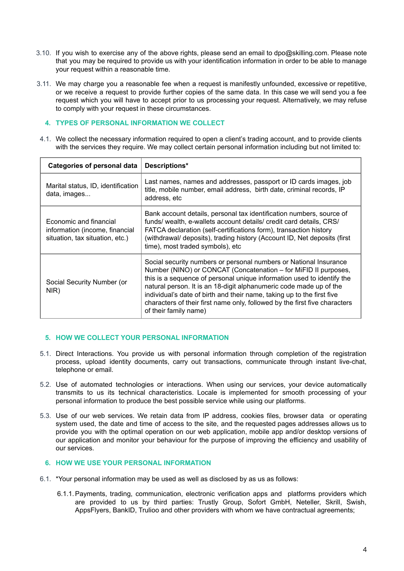- 3.10. If you wish to exercise any of the above rights, please send an email to dpo@skilling.com. Please note that you may be required to provide us with your identification information in order to be able to manage your request within a reasonable time.
- 3.11. We may charge you a reasonable fee when a request is manifestly unfounded, excessive or repetitive, or we receive a request to provide further copies of the same data. In this case we will send you a fee request which you will have to accept prior to us processing your request. Alternatively, we may refuse to comply with your request in these circumstances.

#### **4. TYPES OF PERSONAL INFORMATION WE COLLECT**

4.1. We collect the necessary information required to open a client's trading account, and to provide clients with the services they require. We may collect certain personal information including but not limited to:

| Categories of personal data                                                                 | Descriptions*                                                                                                                                                                                                                                                                                                                                                                                                                                                         |
|---------------------------------------------------------------------------------------------|-----------------------------------------------------------------------------------------------------------------------------------------------------------------------------------------------------------------------------------------------------------------------------------------------------------------------------------------------------------------------------------------------------------------------------------------------------------------------|
| Marital status, ID, identification<br>data, images                                          | Last names, names and addresses, passport or ID cards images, job<br>title, mobile number, email address, birth date, criminal records, IP<br>address, etc                                                                                                                                                                                                                                                                                                            |
| Economic and financial<br>information (income, financial<br>situation, tax situation, etc.) | Bank account details, personal tax identification numbers, source of<br>funds/wealth, e-wallets account details/credit card details, CRS/<br>FATCA declaration (self-certifications form), transaction history<br>(withdrawal/ deposits), trading history (Account ID, Net deposits (first<br>time), most traded symbols), etc                                                                                                                                        |
| Social Security Number (or<br>NIR)                                                          | Social security numbers or personal numbers or National Insurance<br>Number (NINO) or CONCAT (Concatenation – for MiFID II purposes,<br>this is a sequence of personal unique information used to identify the<br>natural person. It is an 18-digit alphanumeric code made up of the<br>individual's date of birth and their name, taking up to the first five<br>characters of their first name only, followed by the first five characters<br>of their family name) |

## **5. HOW WE COLLECT YOUR PERSONAL INFORMATION**

- 5.1. Direct Interactions. You provide us with personal information through completion of the registration process, upload identity documents, carry out transactions, communicate through instant live-chat, telephone or email.
- 5.2. Use of automated technologies or interactions. When using our services, your device automatically transmits to us its technical characteristics. Locale is implemented for smooth processing of your personal information to produce the best possible service while using our platforms.
- 5.3. Use of our web services. We retain data from IP address, cookies files, browser data or operating system used, the date and time of access to the site, and the requested pages addresses allows us to provide you with the optimal operation on our web application, mobile app and/or desktop versions of our application and monitor your behaviour for the purpose of improving the efficiency and usability of our services.

## **6. HOW WE USE YOUR PERSONAL INFORMATION**

- 6.1. \*Your personal information may be used as well as disclosed by as us as follows:
	- 6.1.1.Payments, trading, communication, electronic verification apps and platforms providers which are provided to us by third parties: Trustly Group, Sofort GmbH, Neteller, Skrill, Swish, AppsFlyers, BankID, Trulioo and other providers with whom we have contractual agreements;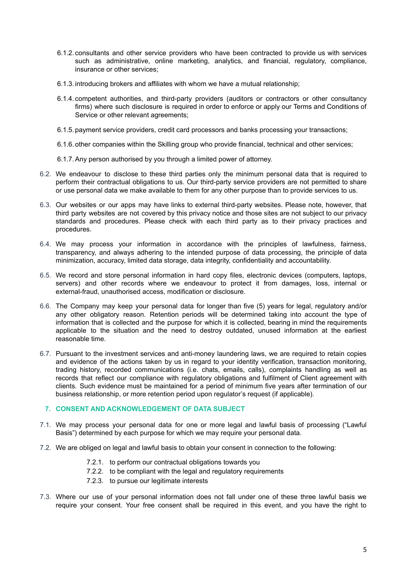- 6.1.2. consultants and other service providers who have been contracted to provide us with services such as administrative, online marketing, analytics, and financial, regulatory, compliance, insurance or other services;
- 6.1.3. introducing brokers and affiliates with whom we have a mutual relationship;
- 6.1.4. competent authorities, and third-party providers (auditors or contractors or other consultancy firms) where such disclosure is required in order to enforce or apply our Terms and Conditions of Service or other relevant agreements;
- 6.1.5. payment service providers, credit card processors and banks processing your transactions;
- 6.1.6. other companies within the Skilling group who provide financial, technical and other services;
- 6.1.7.Any person authorised by you through a limited power of attorney.
- 6.2. We endeavour to disclose to these third parties only the minimum personal data that is required to perform their contractual obligations to us. Our third-party service providers are not permitted to share or use personal data we make available to them for any other purpose than to provide services to us.
- 6.3. Our websites or our apps may have links to external third-party websites. Please note, however, that third party websites are not covered by this privacy notice and those sites are not subject to our privacy standards and procedures. Please check with each third party as to their privacy practices and procedures.
- 6.4. We may process your information in accordance with the principles of lawfulness, fairness, transparency, and always adhering to the intended purpose of data processing, the principle of data minimization, accuracy, limited data storage, data integrity, confidentiality and accountability.
- 6.5. We record and store personal information in hard copy files, electronic devices (computers, laptops, servers) and other records where we endeavour to protect it from damages, loss, internal or external-fraud, unauthorised access, modification or disclosure.
- 6.6. The Company may keep your personal data for longer than five (5) years for legal, regulatory and/or any other obligatory reason. Retention periods will be determined taking into account the type of information that is collected and the purpose for which it is collected, bearing in mind the requirements applicable to the situation and the need to destroy outdated, unused information at the earliest reasonable time.
- 6.7. Pursuant to the investment services and anti-money laundering laws, we are required to retain copies and evidence of the actions taken by us in regard to your identity verification, transaction monitoring, trading history, recorded communications (i.e. chats, emails, calls), complaints handling as well as records that reflect our compliance with regulatory obligations and fulfilment of Client agreement with clients. Such evidence must be maintained for a period of minimum five years after termination of our business relationship, or more retention period upon regulator's request (if applicable).

## **7. CONSENT AND ACKNOWLEDGEMENT OF DATA SUBJECT**

- 7.1. We may process your personal data for one or more legal and lawful basis of processing ("Lawful Basis") determined by each purpose for which we may require your personal data.
- 7.2. We are obliged on legal and lawful basis to obtain your consent in connection to the following:
	- 7.2.1. to perform our contractual obligations towards you
	- 7.2.2. to be compliant with the legal and regulatory requirements
	- 7.2.3. to pursue our legitimate interests
- 7.3. Where our use of your personal information does not fall under one of these three lawful basis we require your consent. Your free consent shall be required in this event, and you have the right to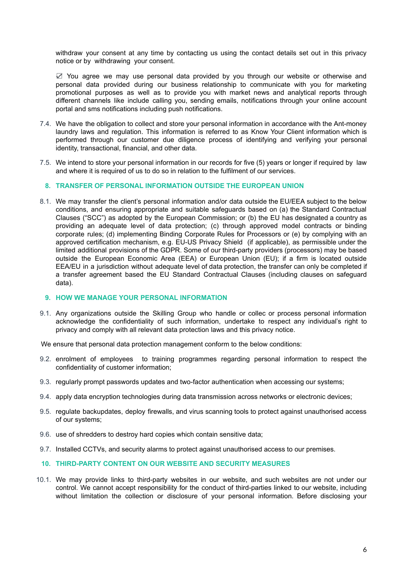withdraw your consent at any time by contacting us using the contact details set out in this privacy notice or by withdrawing your consent.

☑ You agree we may use personal data provided by you through our website or otherwise and personal data provided during our business relationship to communicate with you for marketing promotional purposes as well as to provide you with market news and analytical reports through different channels like include calling you, sending emails, notifications through your online account portal and sms notifications including push notifications.

- 7.4. We have the obligation to collect and store your personal information in accordance with the Ant-money laundry laws and regulation. This information is referred to as Know Your Client information which is performed through our customer due diligence process of identifying and verifying your personal identity, transactional, financial, and other data.
- 7.5. We intend to store your personal information in our records for five (5) years or longer if required by law and where it is required of us to do so in relation to the fulfilment of our services.

#### **8. TRANSFER OF PERSONAL INFORMATION OUTSIDE THE EUROPEAN UNION**

8.1. We may transfer the client's personal information and/or data outside the EU/EEA subject to the below conditions, and ensuring appropriate and suitable safeguards based on (a) the Standard Contractual Clauses ("[SCC"](https://ec.europa.eu/info/law/law-topic/data-protection/international-dimension-data-protection/standard-contractual-clauses-scc_en)) as adopted by the European Commission; or (b) the EU has designated a country as providing an adequate level of data protection; (c) through approved model contracts or binding corporate rules; (d) implementing Binding Corporate Rules for Processors or (e) by complying with an approved certification mechanism, e.g. EU-US Privacy Shield (if applicable), as permissible under the limited additional provisions of the GDPR. Some of our third-party providers (processors) may be based outside the European Economic Area (EEA) or European Union (EU); if a firm is located outside EEA/EU in a jurisdiction without adequate level of data protection, the transfer can only be completed if a transfer agreement based the EU Standard Contractual Clauses (including clauses on safeguard data).

#### **9. HOW WE MANAGE YOUR PERSONAL INFORMATION**

9.1. Any organizations outside the Skilling Group who handle or collec or process personal information acknowledge the confidentiality of such information, undertake to respect any individual's right to privacy and comply with all relevant data protection laws and this privacy notice.

We ensure that personal data protection management conform to the below conditions:

- 9.2. enrolment of employees to training programmes regarding personal information to respect the confidentiality of customer information;
- 9.3. regularly prompt passwords updates and two-factor authentication when accessing our systems;
- 9.4. apply data encryption technologies during data transmission across networks or electronic devices;
- 9.5. regulate backupdates, deploy firewalls, and virus scanning tools to protect against unauthorised access of our systems;
- 9.6. use of shredders to destroy hard copies which contain sensitive data;
- 9.7. Installed CCTVs, and security alarms to protect against unauthorised access to our premises.

#### **10. THIRD-PARTY CONTENT ON OUR WEBSITE AND SECURITY MEASURES**

10.1. We may provide links to third-party websites in our website, and such websites are not under our control. We cannot accept responsibility for the conduct of third-parties linked to our website, including without limitation the collection or disclosure of your personal information. Before disclosing your